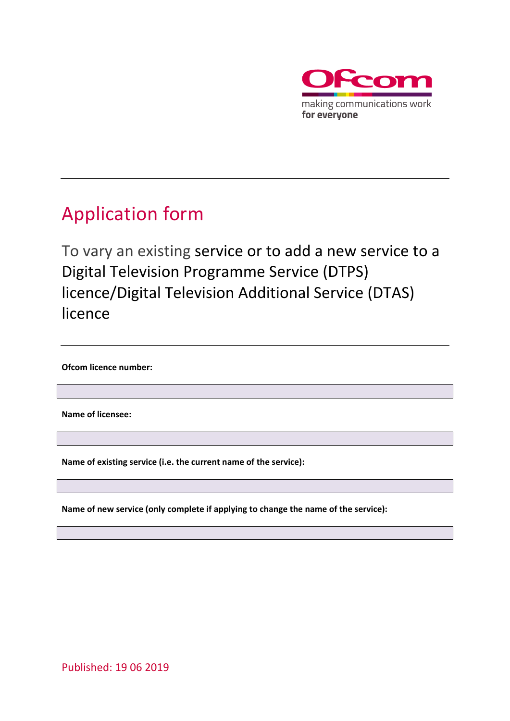

## <span id="page-0-0"></span>Application form

To vary an existing service or to add a new service to a Digital Television Programme Service (DTPS) licence/Digital Television Additional Service (DTAS) licence

**Ofcom licence number:**

**Name of licensee:**

**Name of existing service (i.e. the current name of the service):**

**Name of new service (only complete if applying to change the name of the service):**

Published: 19 06 2019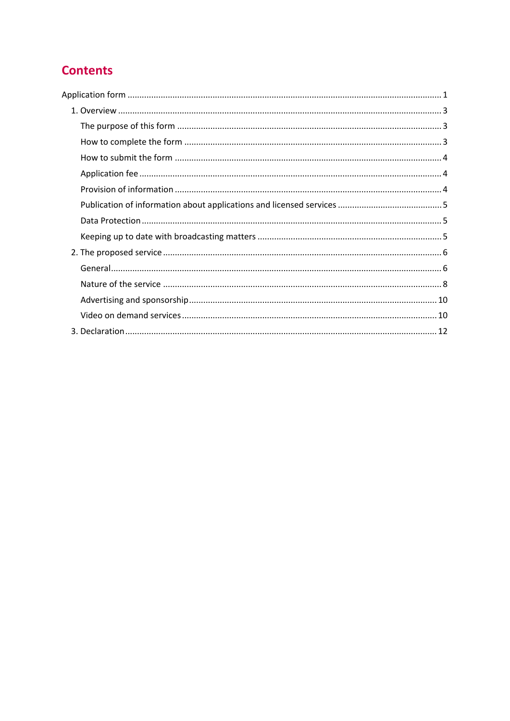## **Contents**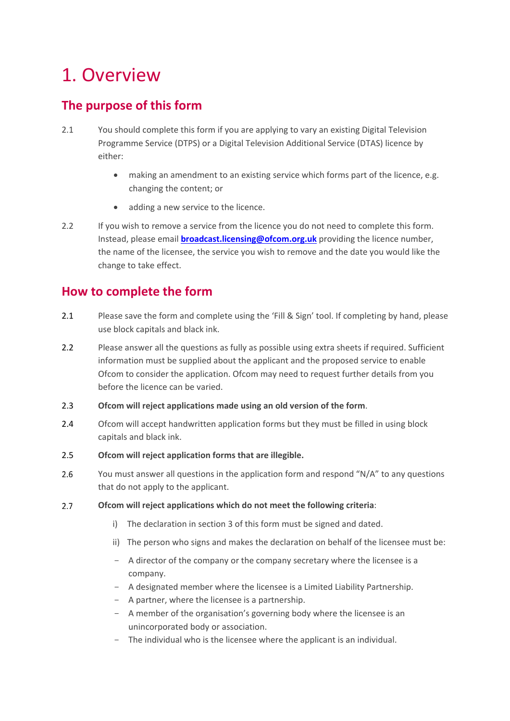# <span id="page-2-0"></span>1. Overview

## <span id="page-2-1"></span>**The purpose of this form**

- 2.1 You should complete this form if you are applying to vary an existing Digital Television Programme Service (DTPS) or a Digital Television Additional Service (DTAS) licence by either:
	- making an amendment to an existing service which forms part of the licence, e.g. changing the content; or
	- adding a new service to the licence.
- 2.2 If you wish to remove a service from the licence you do not need to complete this form. Instead, please email **[broadcast.licensing@ofcom.org.uk](mailto:broadcast.licensing@ofcom.org.uk)** providing the licence number, the name of the licensee, the service you wish to remove and the date you would like the change to take effect.

## <span id="page-2-2"></span>**How to complete the form**

- 2.1 Please save the form and complete using the 'Fill & Sign' tool. If completing by hand, please use block capitals and black ink.
- 2.2 Please answer all the questions as fully as possible using extra sheets if required. Sufficient information must be supplied about the applicant and the proposed service to enable Ofcom to consider the application. Ofcom may need to request further details from you before the licence can be varied.
- 2.3 **Ofcom will reject applications made using an old version of the form**.
- 2.4 Ofcom will accept handwritten application forms but they must be filled in using block capitals and black ink.
- 2.5 **Ofcom will reject application forms that are illegible.**
- $2.6$ You must answer all questions in the application form and respond "N/A" to any questions that do not apply to the applicant.
- $2.7$ **Ofcom will reject applications which do not meet the following criteria**:
	- i) The declaration in section 3 of this form must be signed and dated.
	- ii) The person who signs and makes the declaration on behalf of the licensee must be:
	- A director of the company or the company secretary where the licensee is a company.
	- A designated member where the licensee is a Limited Liability Partnership.
	- A partner, where the licensee is a partnership.
	- A member of the organisation's governing body where the licensee is an unincorporated body or association.
	- The individual who is the licensee where the applicant is an individual.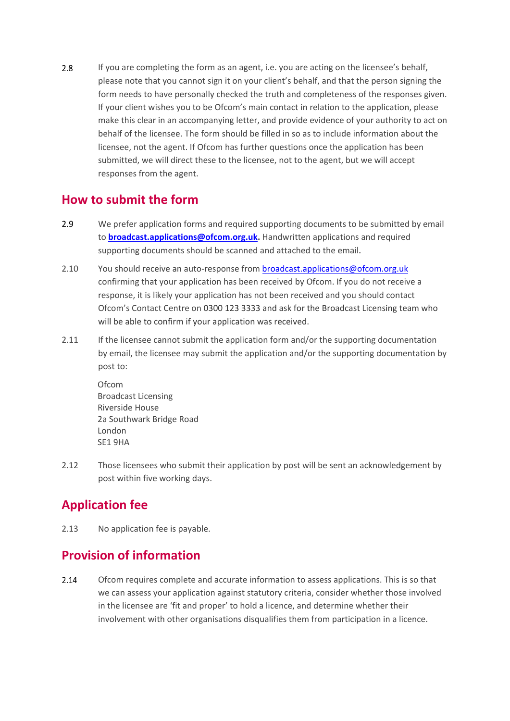2.8 If you are completing the form as an agent, i.e. you are acting on the licensee's behalf, please note that you cannot sign it on your client's behalf, and that the person signing the form needs to have personally checked the truth and completeness of the responses given. If your client wishes you to be Ofcom's main contact in relation to the application, please make this clear in an accompanying letter, and provide evidence of your authority to act on behalf of the licensee. The form should be filled in so as to include information about the licensee, not the agent. If Ofcom has further questions once the application has been submitted, we will direct these to the licensee, not to the agent, but we will accept responses from the agent.

#### <span id="page-3-0"></span>**How to submit the form**

- 2.9 We prefer application forms and required supporting documents to be submitted by email to **[broadcast.applications@ofcom.org.uk.](mailto:broadcast.applications@ofcom.org.uk)** Handwritten applications and required supporting documents should be scanned and attached to the email.
- 2.10 You should receive an auto-response from broadcast.applications@ofcom.org.uk confirming that your application has been received by Ofcom. If you do not receive a response, it is likely your application has not been received and you should contact Ofcom's Contact Centre on 0300 123 3333 and ask for the Broadcast Licensing team who will be able to confirm if your application was received.
- 2.11 If the licensee cannot submit the application form and/or the supporting documentation by email, the licensee may submit the application and/or the supporting documentation by post to:

Ofcom Broadcast Licensing Riverside House 2a Southwark Bridge Road London SE1 9HA

2.12 Those licensees who submit their application by post will be sent an acknowledgement by post within five working days.

## <span id="page-3-1"></span>**Application fee**

2.13 No application fee is payable.

## <span id="page-3-2"></span>**Provision of information**

 $2.14$ Ofcom requires complete and accurate information to assess applications. This is so that we can assess your application against statutory criteria, consider whether those involved in the licensee are 'fit and proper' to hold a licence, and determine whether their involvement with other organisations disqualifies them from participation in a licence.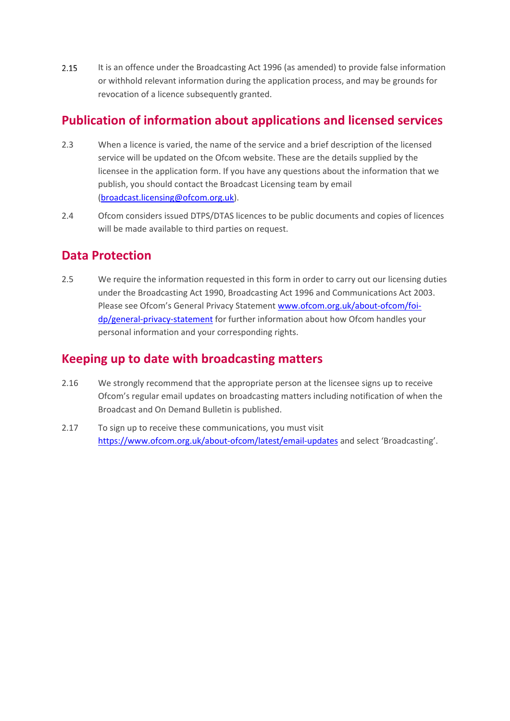$2.15$ It is an offence under the Broadcasting Act 1996 (as amended) to provide false information or withhold relevant information during the application process, and may be grounds for revocation of a licence subsequently granted.

### <span id="page-4-0"></span>**Publication of information about applications and licensed services**

- 2.3 When a licence is varied, the name of the service and a brief description of the licensed service will be updated on the Ofcom website. These are the details supplied by the licensee in the application form. If you have any questions about the information that we publish, you should contact the Broadcast Licensing team by email (broadcast.licensing@ofcom.org.uk).
- 2.4 Ofcom considers issued DTPS/DTAS licences to be public documents and copies of licences will be made available to third parties on request.

### <span id="page-4-1"></span>**Data Protection**

2.5 We require the information requested in this form in order to carry out our licensing duties under the Broadcasting Act 1990, Broadcasting Act 1996 and Communications Act 2003. Please see Ofcom's General Privacy Statement [www.ofcom.org.uk/about-ofcom/foi](http://www.ofcom.org.uk/about-ofcom/foi-dp/general-privacy-statement)[dp/general-privacy-statement](http://www.ofcom.org.uk/about-ofcom/foi-dp/general-privacy-statement) for further information about how Ofcom handles your personal information and your corresponding rights.

### <span id="page-4-2"></span>**Keeping up to date with broadcasting matters**

- 2.16 We strongly recommend that the appropriate person at the licensee signs up to receive Ofcom's regular email updates on broadcasting matters including notification of when the Broadcast and On Demand Bulletin is published.
- 2.17 To sign up to receive these communications, you must visit <https://www.ofcom.org.uk/about-ofcom/latest/email-updates> and select 'Broadcasting'.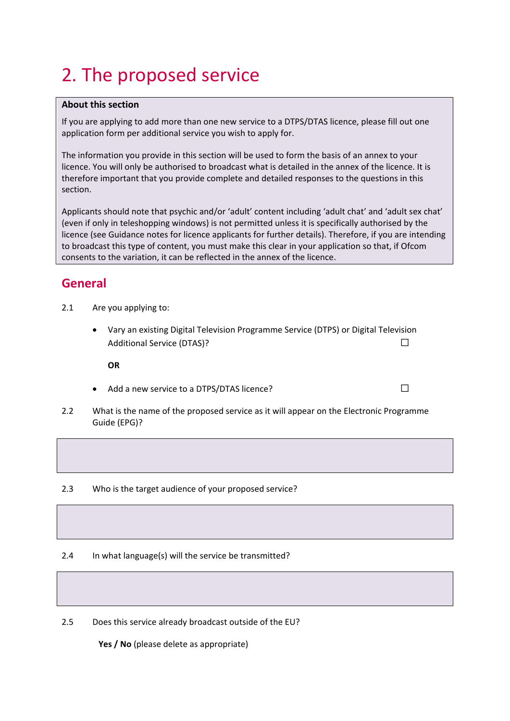# <span id="page-5-0"></span>2. The proposed service

#### **About this section**

If you are applying to add more than one new service to a DTPS/DTAS licence, please fill out one application form per additional service you wish to apply for.

The information you provide in this section will be used to form the basis of an annex to your licence. You will only be authorised to broadcast what is detailed in the annex of the licence. It is therefore important that you provide complete and detailed responses to the questions in this section.

Applicants should note that psychic and/or 'adult' content including 'adult chat' and 'adult sex chat' (even if only in teleshopping windows) is not permitted unless it is specifically authorised by the licence (see Guidance notes for licence applicants for further details). Therefore, if you are intending to broadcast this type of content, you must make this clear in your application so that, if Ofcom consents to the variation, it can be reflected in the annex of the licence.

#### <span id="page-5-1"></span>**General**

- 2.1 Are you applying to:
	- Vary an existing Digital Television Programme Service (DTPS) or Digital Television Additional Service (DTAS)?☐

**OR**

- Add a new service to a DTPS/DTAS licence?  $□$
- 2.2 What is the name of the proposed service as it will appear on the Electronic Programme Guide (EPG)?

2.3 Who is the target audience of your proposed service?

2.4 In what language(s) will the service be transmitted?

2.5 Does this service already broadcast outside of the EU?

**Yes / No** (please delete as appropriate)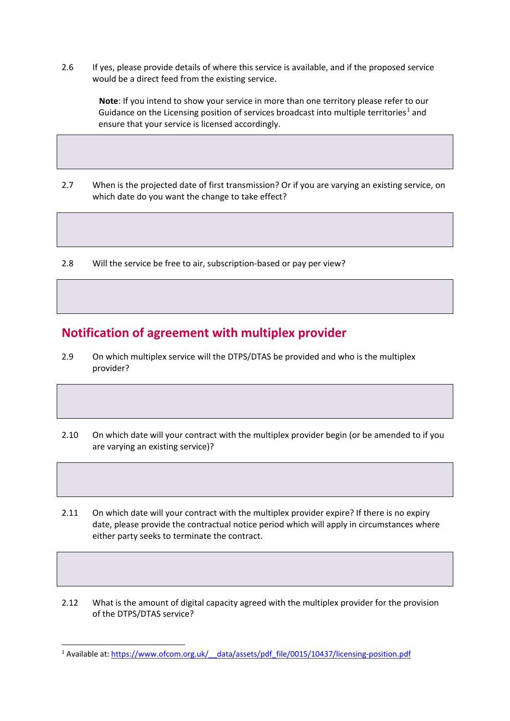2.6 If yes, please provide details of where this service is available, and if the proposed service would be a direct feed from the existing service.

**Note**: If you intend to show your service in more than one territory please refer to our Guidance on the Licensing position of services broadcast into multiple territories<sup>[1](#page-6-0)</sup> and ensure that your service is licensed accordingly.

- 2.7 When is the projected date of first transmission? Or if you are varying an existing service, on which date do you want the change to take effect?
- 2.8 Will the service be free to air, subscription-based or pay per view?

#### **Notification of agreement with multiplex provider**

- 2.9 On which multiplex service will the DTPS/DTAS be provided and who is the multiplex provider?
- 2.10 On which date will your contract with the multiplex provider begin (or be amended to if you are varying an existing service)?

2.11 On which date will your contract with the multiplex provider expire? If there is no expiry date, please provide the contractual notice period which will apply in circumstances where either party seeks to terminate the contract.

2.12 What is the amount of digital capacity agreed with the multiplex provider for the provision of the DTPS/DTAS service?

<span id="page-6-0"></span><sup>&</sup>lt;sup>1</sup> Available at: https://www.ofcom.org.uk/ data/assets/pdf\_file/0015/10437/licensing-position.pdf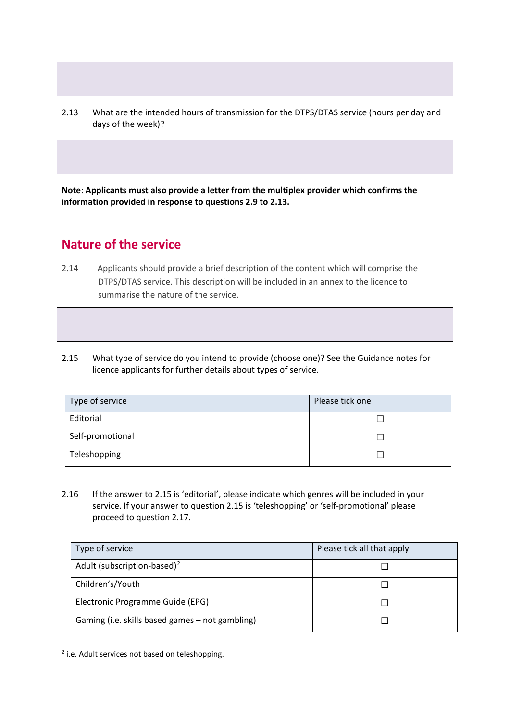2.13 What are the intended hours of transmission for the DTPS/DTAS service (hours per day and days of the week)?

**Note**: **Applicants must also provide a letter from the multiplex provider which confirms the information provided in response to questions 2.9 to 2.13.**

#### <span id="page-7-0"></span>**Nature of the service**

- 2.14 Applicants should provide a brief description of the content which will comprise the DTPS/DTAS service. This description will be included in an annex to the licence to summarise the nature of the service.
- 2.15 What type of service do you intend to provide (choose one)? See the Guidance notes for licence applicants for further details about types of service.

| Type of service  | Please tick one |
|------------------|-----------------|
| Editorial        |                 |
| Self-promotional |                 |
| Teleshopping     |                 |

2.16 If the answer to 2.15 is 'editorial', please indicate which genres will be included in your service. If your answer to question 2.15 is 'teleshopping' or 'self-promotional' please proceed to question 2.17.

| Type of service                                 | Please tick all that apply |
|-------------------------------------------------|----------------------------|
| Adult (subscription-based) <sup>2</sup>         |                            |
| Children's/Youth                                |                            |
| Electronic Programme Guide (EPG)                |                            |
| Gaming (i.e. skills based games - not gambling) |                            |

<span id="page-7-1"></span><sup>2</sup> i.e. Adult services not based on teleshopping.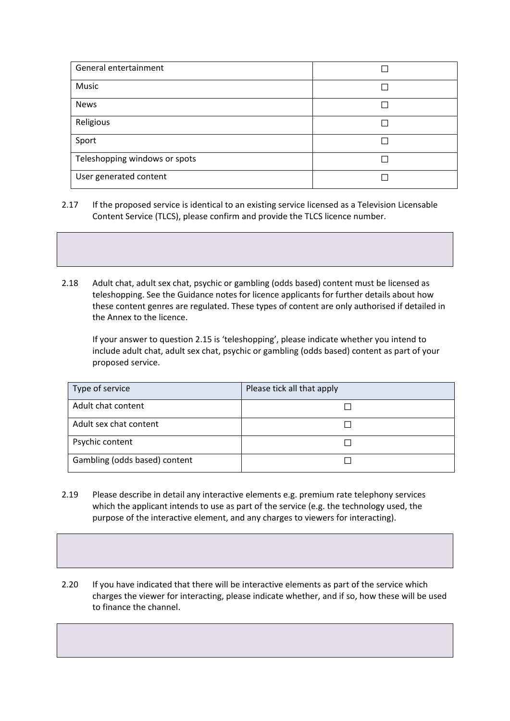| General entertainment         |  |
|-------------------------------|--|
| Music                         |  |
| <b>News</b>                   |  |
| Religious                     |  |
| Sport                         |  |
| Teleshopping windows or spots |  |
| User generated content        |  |

- 2.17 If the proposed service is identical to an existing service licensed as a Television Licensable Content Service (TLCS), please confirm and provide the TLCS licence number.
- 2.18 Adult chat, adult sex chat, psychic or gambling (odds based) content must be licensed as teleshopping. See the Guidance notes for licence applicants for further details about how these content genres are regulated. These types of content are only authorised if detailed in the Annex to the licence.

If your answer to question 2.15 is 'teleshopping', please indicate whether you intend to include adult chat, adult sex chat, psychic or gambling (odds based) content as part of your proposed service.

| Type of service               | Please tick all that apply |
|-------------------------------|----------------------------|
| Adult chat content            |                            |
| Adult sex chat content        |                            |
| Psychic content               |                            |
| Gambling (odds based) content |                            |

- 2.19 Please describe in detail any interactive elements e.g. premium rate telephony services which the applicant intends to use as part of the service (e.g. the technology used, the purpose of the interactive element, and any charges to viewers for interacting).
- 2.20 If you have indicated that there will be interactive elements as part of the service which charges the viewer for interacting, please indicate whether, and if so, how these will be used to finance the channel.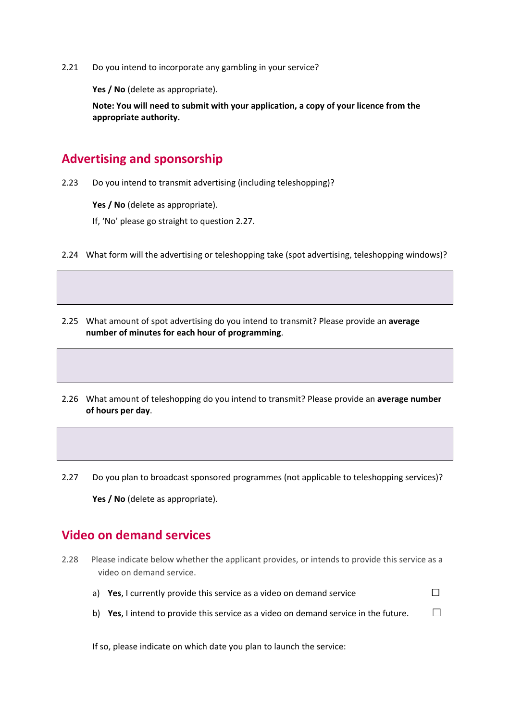2.21 Do you intend to incorporate any gambling in your service?

**Yes / No** (delete as appropriate).

**Note: You will need to submit with your application, a copy of your licence from the appropriate authority.**

### <span id="page-9-0"></span>**Advertising and sponsorship**

2.23 Do you intend to transmit advertising (including teleshopping)?

Yes / No (delete as appropriate).

If, 'No' please go straight to question 2.27.

- 2.24 What form will the advertising or teleshopping take (spot advertising, teleshopping windows)?
- 2.25 What amount of spot advertising do you intend to transmit? Please provide an **average number of minutes for each hour of programming**.
- 2.26 What amount of teleshopping do you intend to transmit? Please provide an **average number of hours per day**.
- 2.27 Do you plan to broadcast sponsored programmes (not applicable to teleshopping services)?

Yes / No (delete as appropriate).

#### <span id="page-9-1"></span>**Video on demand services**

- 2.28 Please indicate below whether the applicant provides, or intends to provide this service as a video on demand service.
	- a) **Yes**, I currently provide this service as a video on demand service □
	- b) **Yes**, I intend to provide this service as a video on demand service in the future.  $\Box$

If so, please indicate on which date you plan to launch the service: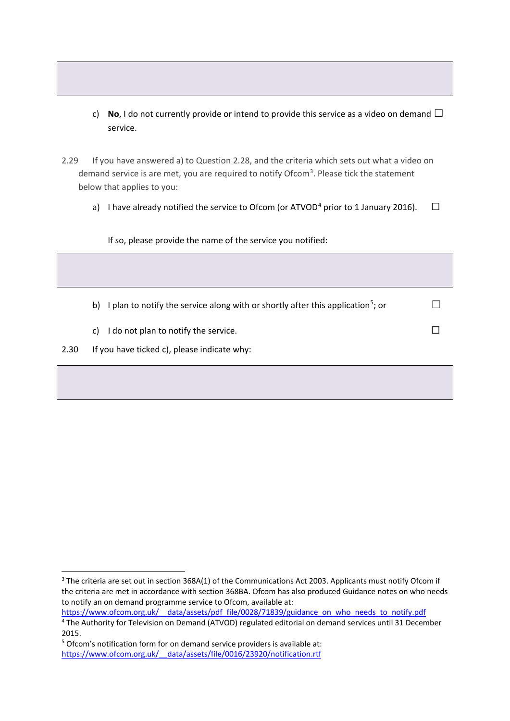- c) **No**, I do not currently provide or intend to provide this service as a video on demand  $\Box$ service.
- 2.29 If you have answered a) to Question 2.28, and the criteria which sets out what a video on demand service is are met, you are required to notify Ofcom<sup>[3](#page-10-0)</sup>. Please tick the statement below that applies to you:
	- a) I have already notified the service to Ofcom (or ATVOD<sup>[4](#page-10-1)</sup> prior to 1 January 2016).  $\Box$

If so, please provide the name of the service you notified:

- b) I plan to notify the service along with or shortly after this application<sup>[5](#page-10-2)</sup>; or  $\Box$
- c) I do not plan to notify the service.  $□$
- 2.30 If you have ticked c), please indicate why:

<span id="page-10-0"></span><sup>&</sup>lt;sup>3</sup> The criteria are set out in section 368A(1) of the Communications Act 2003. Applicants must notify Ofcom if the criteria are met in accordance with section 368BA. Ofcom has also produced Guidance notes on who needs to notify an on demand programme service to Ofcom, available at:

<span id="page-10-1"></span>https://www.ofcom.org.uk/ data/assets/pdf\_file/0028/71839/guidance\_on\_who\_needs\_to\_notify.pdf 4 The Authority for Television on Demand (ATVOD) regulated editorial on demand services until 31 December 2015.

<span id="page-10-2"></span><sup>5</sup> Ofcom's notification form for on demand service providers is available at: [https://www.ofcom.org.uk/\\_\\_data/assets/file/0016/23920/notification.rtf](https://www.ofcom.org.uk/__data/assets/file/0016/23920/notification.rtf)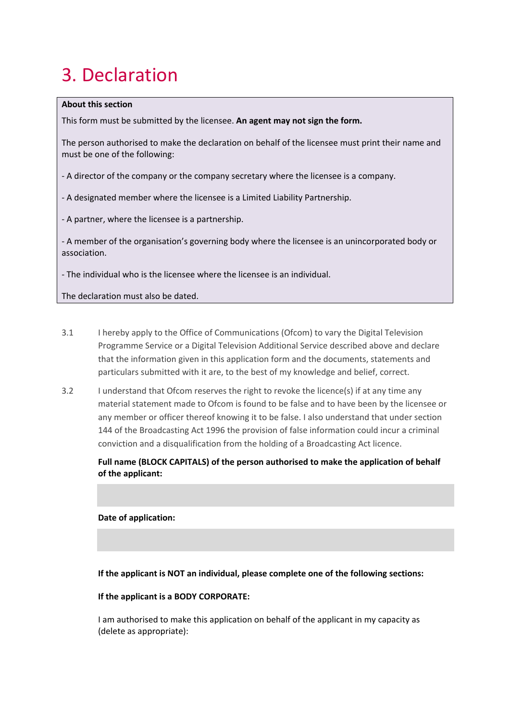# <span id="page-11-0"></span>3. Declaration

#### **About this section**

This form must be submitted by the licensee. **An agent may not sign the form.**

The person authorised to make the declaration on behalf of the licensee must print their name and must be one of the following:

- A director of the company or the company secretary where the licensee is a company.

- A designated member where the licensee is a Limited Liability Partnership.

- A partner, where the licensee is a partnership.

- A member of the organisation's governing body where the licensee is an unincorporated body or association.

- The individual who is the licensee where the licensee is an individual.

The declaration must also be dated.

- 3.1 I hereby apply to the Office of Communications (Ofcom) to vary the Digital Television Programme Service or a Digital Television Additional Service described above and declare that the information given in this application form and the documents, statements and particulars submitted with it are, to the best of my knowledge and belief, correct.
- 3.2 I understand that Ofcom reserves the right to revoke the licence(s) if at any time any material statement made to Ofcom is found to be false and to have been by the licensee or any member or officer thereof knowing it to be false. I also understand that under section 144 of the Broadcasting Act 1996 the provision of false information could incur a criminal conviction and a disqualification from the holding of a Broadcasting Act licence.

**Full name (BLOCK CAPITALS) of the person authorised to make the application of behalf of the applicant:**

**Date of application:**

**If the applicant is NOT an individual, please complete one of the following sections:**

#### **If the applicant is a BODY CORPORATE:**

I am authorised to make this application on behalf of the applicant in my capacity as (delete as appropriate):